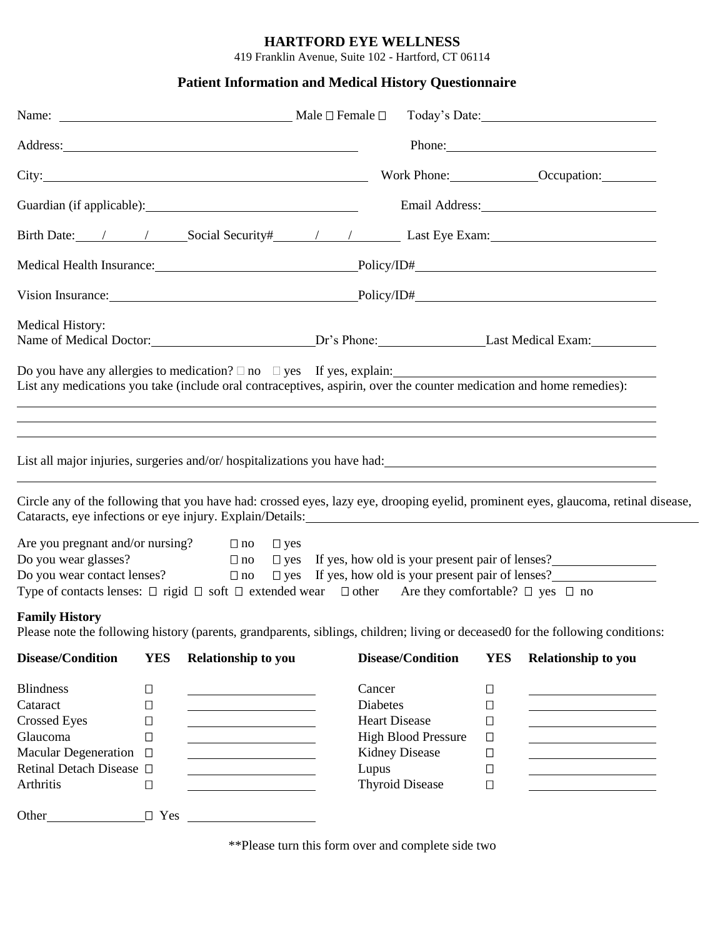## **HARTFORD EYE WELLNESS**

419 Franklin Avenue, Suite 102 - Hartford, CT 06114

## **Patient Information and Medical History Questionnaire**

| Name: Male □ Female □                                                                                                                                                                                                                                                                            |                                      |                                                                                                                                                                                   |  |                                    |                                                                                                       |                                                                    | Today's Date:                                                                                                                                                                                                                                                                                                                                                       |  |  |  |
|--------------------------------------------------------------------------------------------------------------------------------------------------------------------------------------------------------------------------------------------------------------------------------------------------|--------------------------------------|-----------------------------------------------------------------------------------------------------------------------------------------------------------------------------------|--|------------------------------------|-------------------------------------------------------------------------------------------------------|--------------------------------------------------------------------|---------------------------------------------------------------------------------------------------------------------------------------------------------------------------------------------------------------------------------------------------------------------------------------------------------------------------------------------------------------------|--|--|--|
| Address: Note and the contract of the contract of the contract of the contract of the contract of the contract of the contract of the contract of the contract of the contract of the contract of the contract of the contract                                                                   |                                      |                                                                                                                                                                                   |  |                                    |                                                                                                       |                                                                    | Phone:                                                                                                                                                                                                                                                                                                                                                              |  |  |  |
|                                                                                                                                                                                                                                                                                                  |                                      |                                                                                                                                                                                   |  |                                    |                                                                                                       |                                                                    |                                                                                                                                                                                                                                                                                                                                                                     |  |  |  |
|                                                                                                                                                                                                                                                                                                  |                                      |                                                                                                                                                                                   |  |                                    |                                                                                                       |                                                                    |                                                                                                                                                                                                                                                                                                                                                                     |  |  |  |
|                                                                                                                                                                                                                                                                                                  |                                      |                                                                                                                                                                                   |  |                                    |                                                                                                       |                                                                    | Birth Date: / / Social Security / / / Last Eye Exam: 1 / 2010                                                                                                                                                                                                                                                                                                       |  |  |  |
|                                                                                                                                                                                                                                                                                                  | Medical Health Insurance: Policy/ID# |                                                                                                                                                                                   |  |                                    |                                                                                                       |                                                                    |                                                                                                                                                                                                                                                                                                                                                                     |  |  |  |
|                                                                                                                                                                                                                                                                                                  | Vision Insurance: Policy/ID#         |                                                                                                                                                                                   |  |                                    |                                                                                                       |                                                                    |                                                                                                                                                                                                                                                                                                                                                                     |  |  |  |
| Medical History:                                                                                                                                                                                                                                                                                 |                                      |                                                                                                                                                                                   |  |                                    |                                                                                                       |                                                                    |                                                                                                                                                                                                                                                                                                                                                                     |  |  |  |
| Do you have any allergies to medication? $\Box$ no $\Box$ yes If yes, explain:<br>List any medications you take (include oral contraceptives, aspirin, over the counter medication and home remedies):                                                                                           |                                      |                                                                                                                                                                                   |  |                                    |                                                                                                       |                                                                    | ,我们也不会有什么。""我们的人,我们也不会有什么?""我们的人,我们也不会有什么?""我们的人,我们也不会有什么?""我们的人,我们也不会有什么?""我们的人                                                                                                                                                                                                                                                                                    |  |  |  |
|                                                                                                                                                                                                                                                                                                  |                                      |                                                                                                                                                                                   |  |                                    |                                                                                                       |                                                                    | Circle any of the following that you have had: crossed eyes, lazy eye, drooping eyelid, prominent eyes, glaucoma, retinal disease,<br>Cataracts, eye infections or eye injury. Explain/Details: 1992) and the context of the context of the context of the context of the context of the context of the context of the context of the context of the context of the |  |  |  |
| Are you pregnant and/or nursing? $\Box$ no $\Box$ yes<br>Do you wear glasses?<br>Do you wear glasses? $\square$ no<br>Do you wear contact lenses? $\square$ no<br>Type of contacts lenses: $\Box$ rigid $\Box$ soft $\Box$ extended wear $\Box$ other Are they comfortable? $\Box$ yes $\Box$ no |                                      |                                                                                                                                                                                   |  |                                    |                                                                                                       |                                                                    | $\square$ no $\square$ yes If yes, how old is your present pair of lenses?<br>$\square$ yes If yes, how old is your present pair of lenses?                                                                                                                                                                                                                         |  |  |  |
| <b>Family History</b>                                                                                                                                                                                                                                                                            |                                      |                                                                                                                                                                                   |  |                                    |                                                                                                       |                                                                    | Please note the following history (parents, grandparents, siblings, children; living or deceased0 for the following conditions:                                                                                                                                                                                                                                     |  |  |  |
| <b>Disease/Condition</b>                                                                                                                                                                                                                                                                         | <b>YES</b>                           | <b>Relationship to you</b>                                                                                                                                                        |  |                                    | <b>Disease/Condition</b>                                                                              | <b>YES</b>                                                         | Relationship to you                                                                                                                                                                                                                                                                                                                                                 |  |  |  |
| <b>Blindness</b><br>Cataract<br><b>Crossed Eyes</b><br>Glaucoma<br>Macular Degeneration □<br>Retinal Detach Disease □<br>Arthritis                                                                                                                                                               | $\Box$<br>□<br>$\Box$<br>□<br>$\Box$ | <u> 1980 - Johann Barn, mars ann an t-Amhain Aonaich an t-Aonaich an t-Aonaich ann an t-Aonaich ann an t-Aonaich</u><br><u> 1989 - Johann Barn, mars eta bainar eta idazlea (</u> |  | Cancer<br><b>Diabetes</b><br>Lupus | <b>Heart Disease</b><br><b>High Blood Pressure</b><br><b>Kidney Disease</b><br><b>Thyroid Disease</b> | $\Box$<br>$\Box$<br>$\Box$<br>$\Box$<br>$\Box$<br>$\Box$<br>$\Box$ |                                                                                                                                                                                                                                                                                                                                                                     |  |  |  |
| Other_                                                                                                                                                                                                                                                                                           | $\Box$ Yes                           |                                                                                                                                                                                   |  |                                    |                                                                                                       |                                                                    |                                                                                                                                                                                                                                                                                                                                                                     |  |  |  |

\*\*Please turn this form over and complete side two